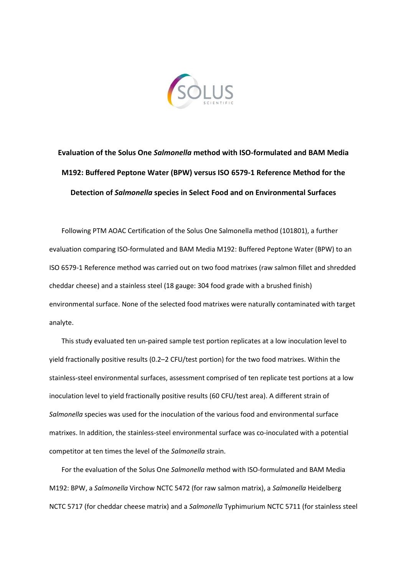

## **Evaluation of the Solus One** *Salmonella* **method with ISO-formulated and BAM Media M192: Buffered Peptone Water (BPW) versus ISO 6579-1 Reference Method for the Detection of** *Salmonella* **species in Select Food and on Environmental Surfaces**

Following PTM AOAC Certification of the Solus One Salmonella method (101801), a further evaluation comparing ISO-formulated and BAM Media M192: Buffered Peptone Water (BPW) to an ISO 6579-1 Reference method was carried out on two food matrixes (raw salmon fillet and shredded cheddar cheese) and a stainless steel (18 gauge: 304 food grade with a brushed finish) environmental surface. None of the selected food matrixes were naturally contaminated with target analyte.

This study evaluated ten un-paired sample test portion replicates at a low inoculation level to yield fractionally positive results (0.2–2 CFU/test portion) for the two food matrixes. Within the stainless-steel environmental surfaces, assessment comprised of ten replicate test portions at a low inoculation level to yield fractionally positive results (60 CFU/test area). A different strain of *Salmonella* species was used for the inoculation of the various food and environmental surface matrixes. In addition, the stainless-steel environmental surface was co-inoculated with a potential competitor at ten times the level of the *Salmonella* strain.

For the evaluation of the Solus One *Salmonella* method with ISO-formulated and BAM Media M192: BPW, a *Salmonella* Virchow NCTC 5472 (for raw salmon matrix), a *Salmonella* Heidelberg NCTC 5717 (for cheddar cheese matrix) and a *Salmonella* Typhimurium NCTC 5711 (for stainless steel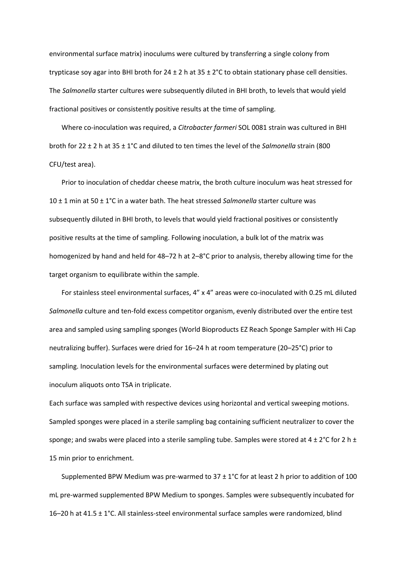environmental surface matrix) inoculums were cultured by transferring a single colony from trypticase soy agar into BHI broth for  $24 \pm 2$  h at  $35 \pm 2^{\circ}$ C to obtain stationary phase cell densities. The *Salmonella* starter cultures were subsequently diluted in BHI broth, to levels that would yield fractional positives or consistently positive results at the time of sampling.

Where co-inoculation was required, a *Citrobacter farmeri* SOL 0081 strain was cultured in BHI broth for 22 ± 2 h at 35 ± 1°C and diluted to ten times the level of the *Salmonella* strain (800 CFU/test area).

Prior to inoculation of cheddar cheese matrix, the broth culture inoculum was heat stressed for 10 ± 1 min at 50 ± 1°C in a water bath. The heat stressed *Salmonella* starter culture was subsequently diluted in BHI broth, to levels that would yield fractional positives or consistently positive results at the time of sampling. Following inoculation, a bulk lot of the matrix was homogenized by hand and held for 48–72 h at 2–8°C prior to analysis, thereby allowing time for the target organism to equilibrate within the sample.

For stainless steel environmental surfaces, 4" x 4" areas were co-inoculated with 0.25 mL diluted *Salmonella* culture and ten-fold excess competitor organism, evenly distributed over the entire test area and sampled using sampling sponges (World Bioproducts EZ Reach Sponge Sampler with Hi Cap neutralizing buffer). Surfaces were dried for 16–24 h at room temperature (20–25°C) prior to sampling. Inoculation levels for the environmental surfaces were determined by plating out inoculum aliquots onto TSA in triplicate.

Each surface was sampled with respective devices using horizontal and vertical sweeping motions. Sampled sponges were placed in a sterile sampling bag containing sufficient neutralizer to cover the sponge; and swabs were placed into a sterile sampling tube. Samples were stored at  $4 \pm 2^{\circ}$ C for 2 h  $\pm$ 15 min prior to enrichment.

Supplemented BPW Medium was pre-warmed to  $37 \pm 1^{\circ}$ C for at least 2 h prior to addition of 100 mL pre-warmed supplemented BPW Medium to sponges. Samples were subsequently incubated for 16–20 h at 41.5 ± 1°C. All stainless-steel environmental surface samples were randomized, blind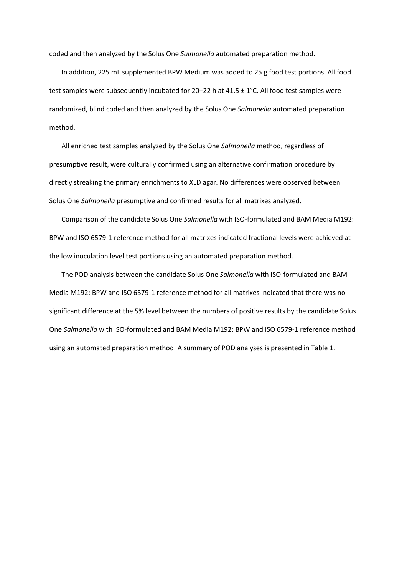coded and then analyzed by the Solus One *Salmonella* automated preparation method.

In addition, 225 mL supplemented BPW Medium was added to 25 g food test portions. All food test samples were subsequently incubated for 20-22 h at  $41.5 \pm 1^{\circ}$ C. All food test samples were randomized, blind coded and then analyzed by the Solus One *Salmonella* automated preparation method.

All enriched test samples analyzed by the Solus One *Salmonella* method, regardless of presumptive result, were culturally confirmed using an alternative confirmation procedure by directly streaking the primary enrichments to XLD agar. No differences were observed between Solus One *Salmonella* presumptive and confirmed results for all matrixes analyzed.

Comparison of the candidate Solus One *Salmonella* with ISO-formulated and BAM Media M192: BPW and ISO 6579-1 reference method for all matrixes indicated fractional levels were achieved at the low inoculation level test portions using an automated preparation method.

The POD analysis between the candidate Solus One *Salmonella* with ISO-formulated and BAM Media M192: BPW and ISO 6579-1 reference method for all matrixes indicated that there was no significant difference at the 5% level between the numbers of positive results by the candidate Solus One *Salmonella* with ISO-formulated and BAM Media M192: BPW and ISO 6579-1 reference method using an automated preparation method. A summary of POD analyses is presented in Table 1.